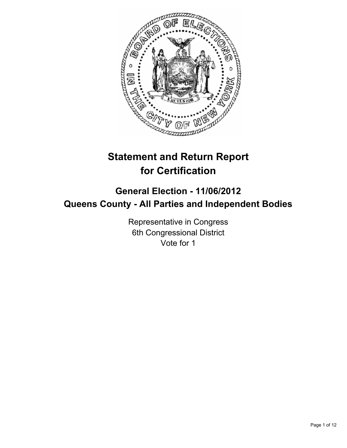

# **Statement and Return Report for Certification**

# **General Election - 11/06/2012 Queens County - All Parties and Independent Bodies**

Representative in Congress 6th Congressional District Vote for 1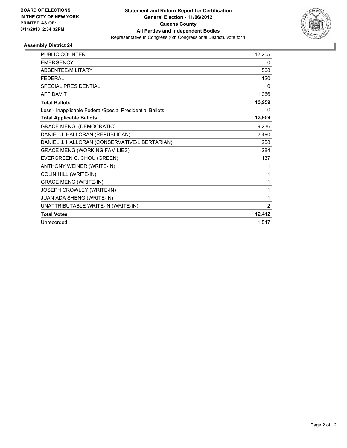

| <b>PUBLIC COUNTER</b>                                    | 12,205 |
|----------------------------------------------------------|--------|
| <b>EMERGENCY</b>                                         | 0      |
| ABSENTEE/MILITARY                                        | 568    |
| <b>FFDFRAL</b>                                           | 120    |
| <b>SPECIAL PRESIDENTIAL</b>                              | 0      |
| <b>AFFIDAVIT</b>                                         | 1,066  |
| <b>Total Ballots</b>                                     | 13,959 |
| Less - Inapplicable Federal/Special Presidential Ballots | 0      |
| <b>Total Applicable Ballots</b>                          | 13,959 |
| <b>GRACE MENG (DEMOCRATIC)</b>                           | 9,236  |
| DANIEL J. HALLORAN (REPUBLICAN)                          | 2,490  |
| DANIEL J. HALLORAN (CONSERVATIVE/LIBERTARIAN)            | 258    |
| <b>GRACE MENG (WORKING FAMILIES)</b>                     | 284    |
| EVERGREEN C. CHOU (GREEN)                                | 137    |
| ANTHONY WEINER (WRITE-IN)                                | 1      |
| <b>COLIN HILL (WRITE-IN)</b>                             | 1      |
| <b>GRACE MENG (WRITE-IN)</b>                             | 1      |
| JOSEPH CROWLEY (WRITE-IN)                                | 1      |
| JUAN ADA SHENG (WRITE-IN)                                | 1      |
| UNATTRIBUTABLE WRITE-IN (WRITE-IN)                       | 2      |
| <b>Total Votes</b>                                       | 12,412 |
| Unrecorded                                               | 1.547  |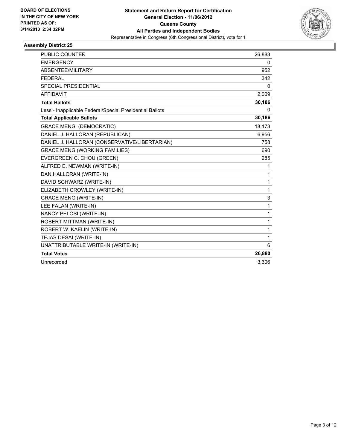

| <b>PUBLIC COUNTER</b>                                    | 26,883       |
|----------------------------------------------------------|--------------|
| <b>EMERGENCY</b>                                         | 0            |
| ABSENTEE/MILITARY                                        | 952          |
| <b>FEDERAL</b>                                           | 342          |
| <b>SPECIAL PRESIDENTIAL</b>                              | 0            |
| <b>AFFIDAVIT</b>                                         | 2,009        |
| <b>Total Ballots</b>                                     | 30,186       |
| Less - Inapplicable Federal/Special Presidential Ballots | 0            |
| <b>Total Applicable Ballots</b>                          | 30,186       |
| <b>GRACE MENG (DEMOCRATIC)</b>                           | 18,173       |
| DANIEL J. HALLORAN (REPUBLICAN)                          | 6,956        |
| DANIEL J. HALLORAN (CONSERVATIVE/LIBERTARIAN)            | 758          |
| <b>GRACE MENG (WORKING FAMILIES)</b>                     | 690          |
| EVERGREEN C. CHOU (GREEN)                                | 285          |
| ALFRED E. NEWMAN (WRITE-IN)                              | 1            |
| DAN HALLORAN (WRITE-IN)                                  | 1            |
| DAVID SCHWARZ (WRITE-IN)                                 | $\mathbf{1}$ |
| ELIZABETH CROWLEY (WRITE-IN)                             | $\mathbf{1}$ |
| <b>GRACE MENG (WRITE-IN)</b>                             | 3            |
| LEE FALAN (WRITE-IN)                                     | $\mathbf{1}$ |
| NANCY PELOSI (WRITE-IN)                                  | $\mathbf{1}$ |
| ROBERT MITTMAN (WRITE-IN)                                | 1            |
| ROBERT W. KAELIN (WRITE-IN)                              | 1            |
| TEJAS DESAI (WRITE-IN)                                   | $\mathbf{1}$ |
| UNATTRIBUTABLE WRITE-IN (WRITE-IN)                       | 6            |
| <b>Total Votes</b>                                       | 26,880       |
| Unrecorded                                               | 3.306        |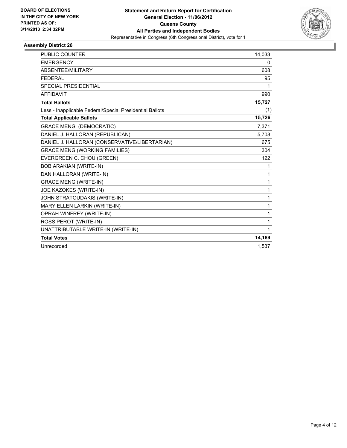

| <b>PUBLIC COUNTER</b>                                    | 14,033 |
|----------------------------------------------------------|--------|
| <b>EMERGENCY</b>                                         | 0      |
| ABSENTEE/MILITARY                                        | 608    |
| <b>FEDERAL</b>                                           | 95     |
| <b>SPECIAL PRESIDENTIAL</b>                              | 1      |
| <b>AFFIDAVIT</b>                                         | 990    |
| <b>Total Ballots</b>                                     | 15,727 |
| Less - Inapplicable Federal/Special Presidential Ballots | (1)    |
| <b>Total Applicable Ballots</b>                          | 15,726 |
| <b>GRACE MENG (DEMOCRATIC)</b>                           | 7,371  |
| DANIEL J. HALLORAN (REPUBLICAN)                          | 5,708  |
| DANIEL J. HALLORAN (CONSERVATIVE/LIBERTARIAN)            | 675    |
| <b>GRACE MENG (WORKING FAMILIES)</b>                     | 304    |
| EVERGREEN C. CHOU (GREEN)                                | 122    |
| <b>BOB ARAKIAN (WRITE-IN)</b>                            | 1      |
| DAN HALLORAN (WRITE-IN)                                  | 1      |
| <b>GRACE MENG (WRITE-IN)</b>                             | 1      |
| JOE KAZOKES (WRITE-IN)                                   | 1      |
| JOHN STRATOUDAKIS (WRITE-IN)                             | 1      |
| MARY ELLEN LARKIN (WRITE-IN)                             | 1      |
| <b>OPRAH WINFREY (WRITE-IN)</b>                          | 1      |
| ROSS PEROT (WRITE-IN)                                    | 1      |
| UNATTRIBUTABLE WRITE-IN (WRITE-IN)                       | 1      |
| <b>Total Votes</b>                                       | 14,189 |
| Unrecorded                                               | 1,537  |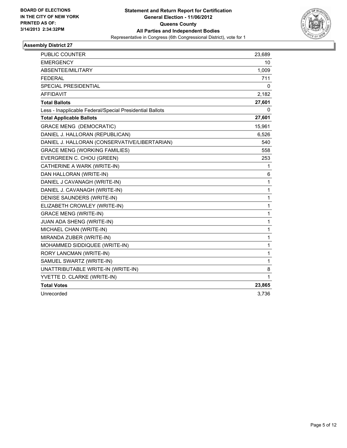

| <b>PUBLIC COUNTER</b>                                    | 23,689       |
|----------------------------------------------------------|--------------|
| <b>EMERGENCY</b>                                         | 10           |
| ABSENTEE/MILITARY                                        | 1,009        |
| <b>FEDERAL</b>                                           | 711          |
| <b>SPECIAL PRESIDENTIAL</b>                              | 0            |
| <b>AFFIDAVIT</b>                                         | 2,182        |
| <b>Total Ballots</b>                                     | 27,601       |
| Less - Inapplicable Federal/Special Presidential Ballots | 0            |
| <b>Total Applicable Ballots</b>                          | 27,601       |
| <b>GRACE MENG (DEMOCRATIC)</b>                           | 15,961       |
| DANIEL J. HALLORAN (REPUBLICAN)                          | 6,526        |
| DANIEL J. HALLORAN (CONSERVATIVE/LIBERTARIAN)            | 540          |
| <b>GRACE MENG (WORKING FAMILIES)</b>                     | 558          |
| EVERGREEN C. CHOU (GREEN)                                | 253          |
| CATHERINE A WARK (WRITE-IN)                              | 1            |
| DAN HALLORAN (WRITE-IN)                                  | 6            |
| DANIEL J CAVANAGH (WRITE-IN)                             | $\mathbf{1}$ |
| DANIEL J. CAVANAGH (WRITE-IN)                            | 1            |
| DENISE SAUNDERS (WRITE-IN)                               | 1            |
| ELIZABETH CROWLEY (WRITE-IN)                             | $\mathbf{1}$ |
| <b>GRACE MENG (WRITE-IN)</b>                             | 1            |
| JUAN ADA SHENG (WRITE-IN)                                | 1            |
| MICHAEL CHAN (WRITE-IN)                                  | $\mathbf{1}$ |
| MIRANDA ZUBER (WRITE-IN)                                 | 1            |
| MOHAMMED SIDDIQUEE (WRITE-IN)                            | $\mathbf{1}$ |
| RORY LANCMAN (WRITE-IN)                                  | 1            |
| SAMUEL SWARTZ (WRITE-IN)                                 | 1            |
| UNATTRIBUTABLE WRITE-IN (WRITE-IN)                       | 8            |
| YVETTE D. CLARKE (WRITE-IN)                              | $\mathbf{1}$ |
| <b>Total Votes</b>                                       | 23,865       |
| Unrecorded                                               | 3,736        |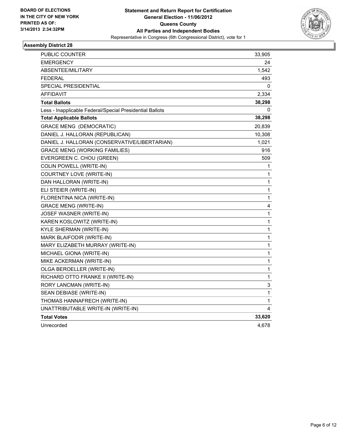

| PUBLIC COUNTER                                           | 33,905       |
|----------------------------------------------------------|--------------|
| <b>EMERGENCY</b>                                         | 24           |
| <b>ABSENTEE/MILITARY</b>                                 | 1,542        |
| <b>FEDERAL</b>                                           | 493          |
| SPECIAL PRESIDENTIAL                                     | 0            |
| AFFIDAVIT                                                | 2,334        |
| <b>Total Ballots</b>                                     | 38,298       |
| Less - Inapplicable Federal/Special Presidential Ballots | 0            |
| <b>Total Applicable Ballots</b>                          | 38,298       |
| <b>GRACE MENG (DEMOCRATIC)</b>                           | 20,839       |
| DANIEL J. HALLORAN (REPUBLICAN)                          | 10,308       |
| DANIEL J. HALLORAN (CONSERVATIVE/LIBERTARIAN)            | 1,021        |
| <b>GRACE MENG (WORKING FAMILIES)</b>                     | 916          |
| EVERGREEN C. CHOU (GREEN)                                | 509          |
| COLIN POWELL (WRITE-IN)                                  | 1            |
| COURTNEY LOVE (WRITE-IN)                                 | 1            |
| DAN HALLORAN (WRITE-IN)                                  | 1            |
| ELI STEIER (WRITE-IN)                                    | 1            |
| FLORENTINA NICA (WRITE-IN)                               | 1            |
| <b>GRACE MENG (WRITE-IN)</b>                             | 4            |
| JOSEF WASNER (WRITE-IN)                                  | 1            |
| KAREN KOSLOWITZ (WRITE-IN)                               | $\mathbf 1$  |
| KYLE SHERMAN (WRITE-IN)                                  | $\mathbf{1}$ |
| MARK BLAIFODIR (WRITE-IN)                                | 1            |
| MARY ELIZABETH MURRAY (WRITE-IN)                         | 1            |
| MICHAEL GIONA (WRITE-IN)                                 | 1            |
| MIKE ACKERMAN (WRITE-IN)                                 | 1            |
| OLGA BEROELLER (WRITE-IN)                                | 1            |
| RICHARD OTTO FRANKE II (WRITE-IN)                        | 1            |
| RORY LANCMAN (WRITE-IN)                                  | 3            |
| SEAN DEBIASE (WRITE-IN)                                  | 1            |
| THOMAS HANNAFRECH (WRITE-IN)                             | 1            |
| UNATTRIBUTABLE WRITE-IN (WRITE-IN)                       | 4            |
| <b>Total Votes</b>                                       | 33,620       |
| Unrecorded                                               | 4,678        |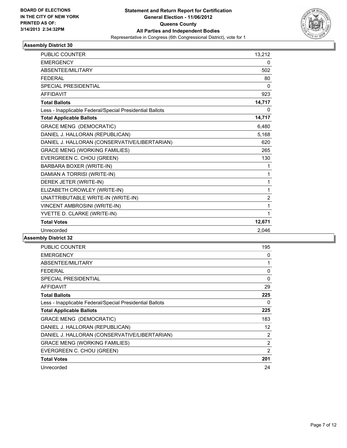

| <b>PUBLIC COUNTER</b>                                    | 13,212         |
|----------------------------------------------------------|----------------|
| <b>EMERGENCY</b>                                         | 0              |
| <b>ABSENTEE/MILITARY</b>                                 | 502            |
| <b>FEDERAL</b>                                           | 80             |
| <b>SPECIAL PRESIDENTIAL</b>                              | $\Omega$       |
| <b>AFFIDAVIT</b>                                         | 923            |
| <b>Total Ballots</b>                                     | 14,717         |
| Less - Inapplicable Federal/Special Presidential Ballots | 0              |
| <b>Total Applicable Ballots</b>                          | 14,717         |
| <b>GRACE MENG (DEMOCRATIC)</b>                           | 6,480          |
| DANIEL J. HALLORAN (REPUBLICAN)                          | 5,168          |
| DANIEL J. HALLORAN (CONSERVATIVE/LIBERTARIAN)            | 620            |
| <b>GRACE MENG (WORKING FAMILIES)</b>                     | 265            |
| EVERGREEN C. CHOU (GREEN)                                | 130            |
| BARBARA BOXER (WRITE-IN)                                 | 1              |
| DAMIAN A TORRISI (WRITE-IN)                              | 1              |
| DEREK JETER (WRITE-IN)                                   | 1              |
| ELIZABETH CROWLEY (WRITE-IN)                             | 1              |
| UNATTRIBUTABLE WRITE-IN (WRITE-IN)                       | $\overline{2}$ |
| VINCENT AMBROSINI (WRITE-IN)                             | 1              |
| YVETTE D. CLARKE (WRITE-IN)                              | 1              |
| <b>Total Votes</b>                                       | 12,671         |
| Unrecorded                                               | 2,046          |

| <b>PUBLIC COUNTER</b>                                    | 195 |
|----------------------------------------------------------|-----|
| <b>EMERGENCY</b>                                         | 0   |
| ABSENTEE/MILITARY                                        | 1   |
| <b>FEDERAL</b>                                           | 0   |
| <b>SPECIAL PRESIDENTIAL</b>                              | 0   |
| <b>AFFIDAVIT</b>                                         | 29  |
| <b>Total Ballots</b>                                     | 225 |
| Less - Inapplicable Federal/Special Presidential Ballots | 0   |
| <b>Total Applicable Ballots</b>                          | 225 |
| <b>GRACE MENG (DEMOCRATIC)</b>                           | 183 |
| DANIEL J. HALLORAN (REPUBLICAN)                          | 12  |
| DANIEL J. HALLORAN (CONSERVATIVE/LIBERTARIAN)            | 2   |
| <b>GRACE MENG (WORKING FAMILIES)</b>                     | 2   |
| EVERGREEN C. CHOU (GREEN)                                | 2   |
| <b>Total Votes</b>                                       | 201 |
| Unrecorded                                               | 24  |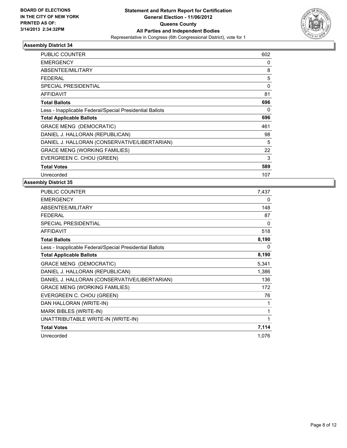

| <b>PUBLIC COUNTER</b>                                    | 602      |
|----------------------------------------------------------|----------|
| <b>EMERGENCY</b>                                         | 0        |
| ABSENTEE/MILITARY                                        | 8        |
| <b>FEDERAL</b>                                           | 5        |
| <b>SPECIAL PRESIDENTIAL</b>                              | 0        |
| <b>AFFIDAVIT</b>                                         | 81       |
| <b>Total Ballots</b>                                     | 696      |
| Less - Inapplicable Federal/Special Presidential Ballots | $\Omega$ |
| <b>Total Applicable Ballots</b>                          | 696      |
| <b>GRACE MENG (DEMOCRATIC)</b>                           | 461      |
| DANIEL J. HALLORAN (REPUBLICAN)                          | 98       |
| DANIEL J. HALLORAN (CONSERVATIVE/LIBERTARIAN)            | 5        |
| <b>GRACE MENG (WORKING FAMILIES)</b>                     | 22       |
| EVERGREEN C. CHOU (GREEN)                                | 3        |
| <b>Total Votes</b>                                       | 589      |
| Unrecorded                                               | 107      |

| PUBLIC COUNTER                                           | 7,437    |
|----------------------------------------------------------|----------|
| <b>EMERGENCY</b>                                         | 0        |
| ABSENTEE/MILITARY                                        | 148      |
| FEDERAL                                                  | 87       |
| <b>SPECIAL PRESIDENTIAL</b>                              | $\Omega$ |
| <b>AFFIDAVIT</b>                                         | 518      |
| <b>Total Ballots</b>                                     | 8,190    |
| Less - Inapplicable Federal/Special Presidential Ballots | 0        |
| <b>Total Applicable Ballots</b>                          | 8,190    |
| GRACE MENG (DEMOCRATIC)                                  | 5,341    |
| DANIEL J. HALLORAN (REPUBLICAN)                          | 1,386    |
| DANIEL J. HALLORAN (CONSERVATIVE/LIBERTARIAN)            | 136      |
| <b>GRACE MENG (WORKING FAMILIES)</b>                     | 172      |
| EVERGREEN C. CHOU (GREEN)                                | 76       |
| DAN HALLORAN (WRITE-IN)                                  | 1        |
| MARK BIBLES (WRITE-IN)                                   | 1        |
| UNATTRIBUTABLE WRITE-IN (WRITE-IN)                       | 1        |
| <b>Total Votes</b>                                       | 7,114    |
| Unrecorded                                               | 1,076    |
|                                                          |          |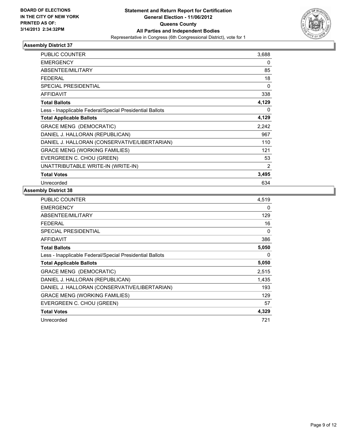

| <b>PUBLIC COUNTER</b>                                    | 3,688 |
|----------------------------------------------------------|-------|
| <b>EMERGENCY</b>                                         | 0     |
| ABSENTEE/MILITARY                                        | 85    |
| <b>FEDERAL</b>                                           | 18    |
| <b>SPECIAL PRESIDENTIAL</b>                              | 0     |
| <b>AFFIDAVIT</b>                                         | 338   |
| <b>Total Ballots</b>                                     | 4,129 |
| Less - Inapplicable Federal/Special Presidential Ballots | 0     |
| <b>Total Applicable Ballots</b>                          | 4,129 |
| <b>GRACE MENG (DEMOCRATIC)</b>                           | 2,242 |
| DANIEL J. HALLORAN (REPUBLICAN)                          | 967   |
| DANIEL J. HALLORAN (CONSERVATIVE/LIBERTARIAN)            | 110   |
| <b>GRACE MENG (WORKING FAMILIES)</b>                     | 121   |
| EVERGREEN C. CHOU (GREEN)                                | 53    |
| UNATTRIBUTABLE WRITE-IN (WRITE-IN)                       | 2     |
| <b>Total Votes</b>                                       | 3,495 |
| Unrecorded                                               | 634   |

| <b>PUBLIC COUNTER</b>                                    | 4,519 |
|----------------------------------------------------------|-------|
| <b>EMERGENCY</b>                                         | 0     |
| <b>ABSENTEE/MILITARY</b>                                 | 129   |
| <b>FEDERAL</b>                                           | 16    |
| <b>SPECIAL PRESIDENTIAL</b>                              | 0     |
| AFFIDAVIT                                                | 386   |
| <b>Total Ballots</b>                                     | 5,050 |
| Less - Inapplicable Federal/Special Presidential Ballots | 0     |
| <b>Total Applicable Ballots</b>                          | 5,050 |
| <b>GRACE MENG (DEMOCRATIC)</b>                           | 2,515 |
| DANIEL J. HALLORAN (REPUBLICAN)                          | 1,435 |
| DANIEL J. HALLORAN (CONSERVATIVE/LIBERTARIAN)            | 193   |
| <b>GRACE MENG (WORKING FAMILIES)</b>                     | 129   |
| EVERGREEN C. CHOU (GREEN)                                | 57    |
| <b>Total Votes</b>                                       | 4,329 |
| Unrecorded                                               | 721   |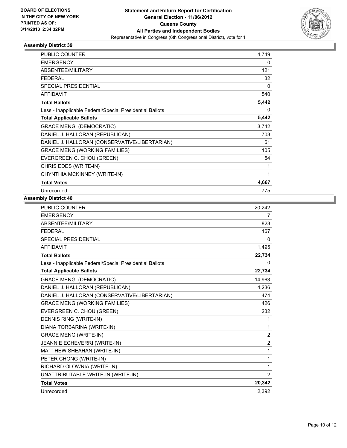

| PUBLIC COUNTER                                           | 4,749        |
|----------------------------------------------------------|--------------|
| <b>EMERGENCY</b>                                         | 0            |
| <b>ABSENTEE/MILITARY</b>                                 | 121          |
| <b>FEDERAL</b>                                           | 32           |
| <b>SPECIAL PRESIDENTIAL</b>                              | 0            |
| <b>AFFIDAVIT</b>                                         | 540          |
| <b>Total Ballots</b>                                     | 5,442        |
| Less - Inapplicable Federal/Special Presidential Ballots | $\mathbf{0}$ |
| <b>Total Applicable Ballots</b>                          | 5,442        |
| GRACE MENG (DEMOCRATIC)                                  | 3,742        |
| DANIEL J. HALLORAN (REPUBLICAN)                          | 703          |
| DANIEL J. HALLORAN (CONSERVATIVE/LIBERTARIAN)            | 61           |
| <b>GRACE MENG (WORKING FAMILIES)</b>                     | 105          |
| EVERGREEN C. CHOU (GREEN)                                | 54           |
| CHRIS EDES (WRITE-IN)                                    | 1            |
| CHYNTHIA MCKINNEY (WRITE-IN)                             | 1            |
| <b>Total Votes</b>                                       | 4,667        |
| Unrecorded                                               | 775          |

| PUBLIC COUNTER                                           | 20,242         |
|----------------------------------------------------------|----------------|
| <b>EMERGENCY</b>                                         | 7              |
| <b>ABSENTEE/MILITARY</b>                                 | 823            |
| <b>FEDERAL</b>                                           | 167            |
| <b>SPECIAL PRESIDENTIAL</b>                              | 0              |
| <b>AFFIDAVIT</b>                                         | 1,495          |
| <b>Total Ballots</b>                                     | 22,734         |
| Less - Inapplicable Federal/Special Presidential Ballots | 0              |
| <b>Total Applicable Ballots</b>                          | 22,734         |
| <b>GRACE MENG (DEMOCRATIC)</b>                           | 14,963         |
| DANIEL J. HALLORAN (REPUBLICAN)                          | 4,236          |
| DANIEL J. HALLORAN (CONSERVATIVE/LIBERTARIAN)            | 474            |
| <b>GRACE MENG (WORKING FAMILIES)</b>                     | 426            |
| EVERGREEN C. CHOU (GREEN)                                | 232            |
| DENNIS RING (WRITE-IN)                                   | 1              |
| DIANA TORBARINA (WRITE-IN)                               | $\mathbf{1}$   |
| <b>GRACE MENG (WRITE-IN)</b>                             | $\overline{2}$ |
| JEANNIE ECHEVERRI (WRITE-IN)                             | $\overline{2}$ |
| MATTHEW SHEAHAN (WRITE-IN)                               | 1              |
| PETER CHONG (WRITE-IN)                                   | 1              |
| RICHARD OLOWNIA (WRITE-IN)                               | $\mathbf{1}$   |
| UNATTRIBUTABLE WRITE-IN (WRITE-IN)                       | 2              |
| <b>Total Votes</b>                                       | 20,342         |
| Unrecorded                                               | 2,392          |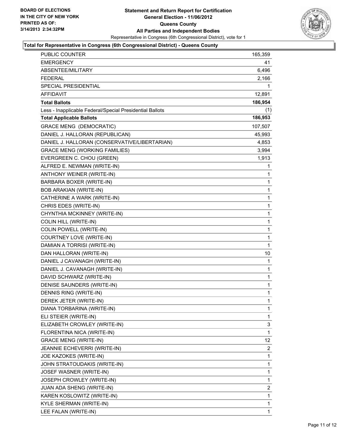

### **Total for Representative in Congress (6th Congressional District) - Queens County**

| PUBLIC COUNTER                                           | 165,359 |
|----------------------------------------------------------|---------|
| <b>EMERGENCY</b>                                         | 41      |
| ABSENTEE/MILITARY                                        | 6,496   |
| <b>FEDERAL</b>                                           | 2,166   |
| <b>SPECIAL PRESIDENTIAL</b>                              | 1       |
| AFFIDAVIT                                                | 12,891  |
| <b>Total Ballots</b>                                     | 186,954 |
| Less - Inapplicable Federal/Special Presidential Ballots | (1)     |
| <b>Total Applicable Ballots</b>                          | 186,953 |
| <b>GRACE MENG (DEMOCRATIC)</b>                           | 107,507 |
| DANIEL J. HALLORAN (REPUBLICAN)                          | 45,993  |
| DANIEL J. HALLORAN (CONSERVATIVE/LIBERTARIAN)            | 4,853   |
| <b>GRACE MENG (WORKING FAMILIES)</b>                     | 3,994   |
| EVERGREEN C. CHOU (GREEN)                                | 1,913   |
| ALFRED E. NEWMAN (WRITE-IN)                              | 1       |
| ANTHONY WEINER (WRITE-IN)                                | 1       |
| BARBARA BOXER (WRITE-IN)                                 | 1       |
| <b>BOB ARAKIAN (WRITE-IN)</b>                            | 1       |
| CATHERINE A WARK (WRITE-IN)                              | 1       |
| CHRIS EDES (WRITE-IN)                                    | 1       |
| CHYNTHIA MCKINNEY (WRITE-IN)                             | 1       |
| COLIN HILL (WRITE-IN)                                    | 1       |
| COLIN POWELL (WRITE-IN)                                  | 1       |
| COURTNEY LOVE (WRITE-IN)                                 | 1       |
| DAMIAN A TORRISI (WRITE-IN)                              | 1       |
| DAN HALLORAN (WRITE-IN)                                  | 10      |
| DANIEL J CAVANAGH (WRITE-IN)                             | 1       |
| DANIEL J. CAVANAGH (WRITE-IN)                            | 1       |
| DAVID SCHWARZ (WRITE-IN)                                 | 1       |
| DENISE SAUNDERS (WRITE-IN)                               | 1       |
| DENNIS RING (WRITE-IN)                                   | 1       |
| DEREK JETER (WRITE-IN)                                   | 1       |
| DIANA TORBARINA (WRITE-IN)                               | 1       |
| ELI STEIER (WRITE-IN)                                    | 1       |
| ELIZABETH CROWLEY (WRITE-IN)                             | 3       |
| FLORENTINA NICA (WRITE-IN)                               | 1       |
| <b>GRACE MENG (WRITE-IN)</b>                             | 12      |
| JEANNIE ECHEVERRI (WRITE-IN)                             | 2       |
| JOE KAZOKES (WRITE-IN)                                   | 1       |
| JOHN STRATOUDAKIS (WRITE-IN)                             | 1       |
| JOSEF WASNER (WRITE-IN)                                  | 1       |
| JOSEPH CROWLEY (WRITE-IN)                                | 1       |
| <b>JUAN ADA SHENG (WRITE-IN)</b>                         | 2       |
| KAREN KOSLOWITZ (WRITE-IN)                               | 1       |
| KYLE SHERMAN (WRITE-IN)                                  | 1       |
| LEE FALAN (WRITE-IN)                                     | 1       |